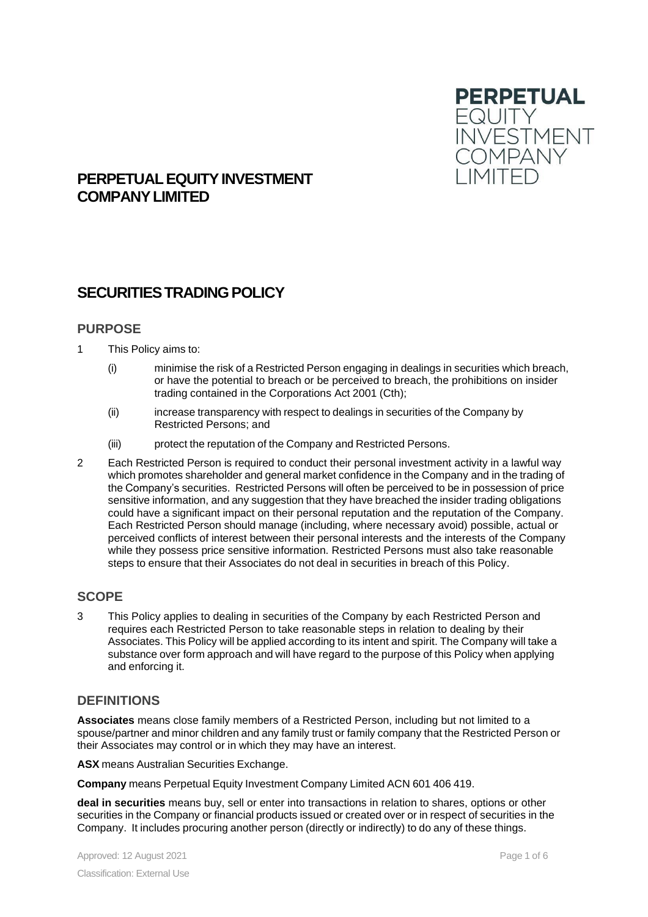

# **PERPETUALEQUITYINVESTMENT COMPANYLIMITED**

# **SECURITIES TRADING POLICY**

### **PURPOSE**

- 1 This Policy aims to:
	- (i) minimise the risk of a Restricted Person engaging in dealings in securities which breach, or have the potential to breach or be perceived to breach, the prohibitions on insider trading contained in the Corporations Act 2001 (Cth);
	- (ii) increase transparency with respect to dealings in securities of the Company by Restricted Persons; and
	- (iii) protect the reputation of the Company and Restricted Persons.
- 2 Each Restricted Person is required to conduct their personal investment activity in a lawful way which promotes shareholder and general market confidence in the Company and in the trading of the Company's securities. Restricted Persons will often be perceived to be in possession of price sensitive information, and any suggestion that they have breached the insider trading obligations could have a significant impact on their personal reputation and the reputation of the Company. Each Restricted Person should manage (including, where necessary avoid) possible, actual or perceived conflicts of interest between their personal interests and the interests of the Company while they possess price sensitive information. Restricted Persons must also take reasonable steps to ensure that their Associates do not deal in securities in breach of this Policy.

## **SCOPE**

3 This Policy applies to dealing in securities of the Company by each Restricted Person and requires each Restricted Person to take reasonable steps in relation to dealing by their Associates. This Policy will be applied according to its intent and spirit. The Company will take a substance over form approach and will have regard to the purpose of this Policy when applying and enforcing it.

## **DEFINITIONS**

**Associates** means close family members of a Restricted Person, including but not limited to a spouse/partner and minor children and any family trust or family company that the Restricted Person or their Associates may control or in which they may have an interest.

**ASX** means Australian Securities Exchange.

**Company** means Perpetual Equity Investment Company Limited ACN 601 406 419.

**deal in securities** means buy, sell or enter into transactions in relation to shares, options or other securities in the Company or financial products issued or created over or in respect of securities in the Company. It includes procuring another person (directly or indirectly) to do any of these things.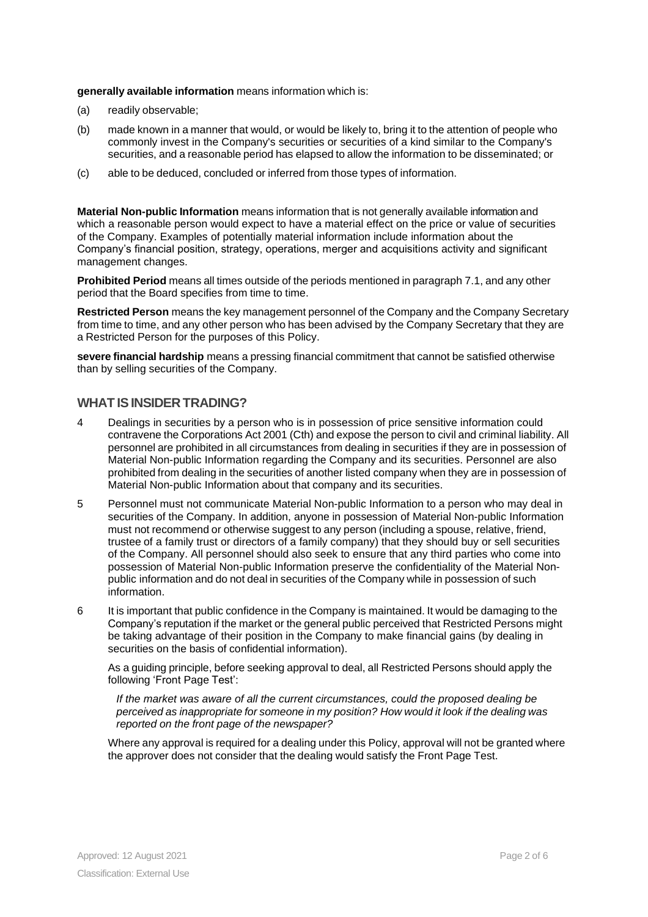**generally available information** means information which is:

- (a) readily observable;
- (b) made known in a manner that would, or would be likely to, bring it to the attention of people who commonly invest in the Company's securities or securities of a kind similar to the Company's securities, and a reasonable period has elapsed to allow the information to be disseminated; or
- (c) able to be deduced, concluded or inferred from those types of information.

**Material Non-public Information** means information that is not generally available information and which a reasonable person would expect to have a material effect on the price or value of securities of the Company. Examples of potentially material information include information about the Company's financial position, strategy, operations, merger and acquisitions activity and significant management changes.

**Prohibited Period** means all times outside of the periods mentioned in paragraph 7.1, and any other period that the Board specifies from time to time.

**Restricted Person** means the key management personnel of the Company and the Company Secretary from time to time, and any other person who has been advised by the Company Secretary that they are a Restricted Person for the purposes of this Policy.

**severe financial hardship** means a pressing financial commitment that cannot be satisfied otherwise than by selling securities of the Company.

### **WHAT ISINSIDER TRADING?**

- 4 Dealings in securities by a person who is in possession of price sensitive information could contravene the Corporations Act 2001 (Cth) and expose the person to civil and criminal liability. All personnel are prohibited in all circumstances from dealing in securities if they are in possession of Material Non-public Information regarding the Company and its securities. Personnel are also prohibited from dealing in the securities of another listed company when they are in possession of Material Non-public Information about that company and its securities.
- 5 Personnel must not communicate Material Non-public Information to a person who may deal in securities of the Company. In addition, anyone in possession of Material Non-public Information must not recommend or otherwise suggest to any person (including a spouse, relative, friend, trustee of a family trust or directors of a family company) that they should buy or sell securities of the Company. All personnel should also seek to ensure that any third parties who come into possession of Material Non-public Information preserve the confidentiality of the Material Nonpublic information and do not deal in securities of the Company while in possession of such information.
- 6 It is important that public confidence in the Company is maintained. It would be damaging to the Company's reputation if the market or the general public perceived that Restricted Persons might be taking advantage of their position in the Company to make financial gains (by dealing in securities on the basis of confidential information).

As a guiding principle, before seeking approval to deal, all Restricted Persons should apply the following 'Front Page Test':

*If the market was aware of all the current circumstances, could the proposed dealing be perceived as inappropriate for someone in my position? How would it look if the dealing was reported on the front page of the newspaper?*

Where any approval is required for a dealing under this Policy, approval will not be granted where the approver does not consider that the dealing would satisfy the Front Page Test.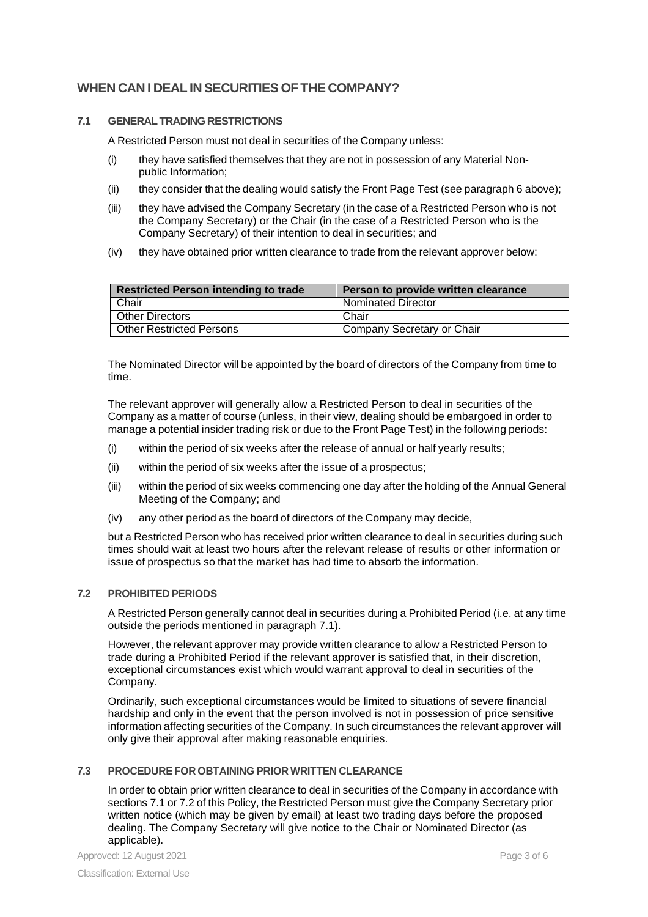# **WHEN CAN I DEALIN SECURITIES OFTHE COMPANY?**

### **7.1 GENERALTRADINGRESTRICTIONS**

A Restricted Person must not deal in securities of the Company unless:

- (i) they have satisfied themselves that they are not in possession of any Material Nonpublic Information;
- (ii) they consider that the dealing would satisfy the Front Page Test (see paragraph 6 above);
- (iii) they have advised the Company Secretary (in the case of a Restricted Person who is not the Company Secretary) or the Chair (in the case of a Restricted Person who is the Company Secretary) of their intention to deal in securities; and
- (iv) they have obtained prior written clearance to trade from the relevant approver below:

| <b>Restricted Person intending to trade</b> | Person to provide written clearance |
|---------------------------------------------|-------------------------------------|
| Chair                                       | <b>Nominated Director</b>           |
| <b>Other Directors</b>                      | Chair                               |
| <b>Other Restricted Persons</b>             | Company Secretary or Chair          |

The Nominated Director will be appointed by the board of directors of the Company from time to time.

The relevant approver will generally allow a Restricted Person to deal in securities of the Company as a matter of course (unless, in their view, dealing should be embargoed in order to manage a potential insider trading risk or due to the Front Page Test) in the following periods:

- (i) within the period of six weeks after the release of annual or half yearly results;
- (ii) within the period of six weeks after the issue of a prospectus;
- (iii) within the period of six weeks commencing one day after the holding of the Annual General Meeting of the Company; and
- (iv) any other period as the board of directors of the Company may decide,

but a Restricted Person who has received prior written clearance to deal in securities during such times should wait at least two hours after the relevant release of results or other information or issue of prospectus so that the market has had time to absorb the information.

#### **7.2 PROHIBITED PERIODS**

A Restricted Person generally cannot deal in securities during a Prohibited Period (i.e. at any time outside the periods mentioned in paragraph 7.1).

However, the relevant approver may provide written clearance to allow a Restricted Person to trade during a Prohibited Period if the relevant approver is satisfied that, in their discretion, exceptional circumstances exist which would warrant approval to deal in securities of the Company.

Ordinarily, such exceptional circumstances would be limited to situations of severe financial hardship and only in the event that the person involved is not in possession of price sensitive information affecting securities of the Company. In such circumstances the relevant approver will only give their approval after making reasonable enquiries.

### **7.3 PROCEDUREFOR OBTAINING PRIOR WRITTEN CLEARANCE**

In order to obtain prior written clearance to deal in securities of the Company in accordance with sections 7.1 or 7.2 of this Policy, the Restricted Person must give the Company Secretary prior written notice (which may be given by email) at least two trading days before the proposed dealing. The Company Secretary will give notice to the Chair or Nominated Director (as applicable).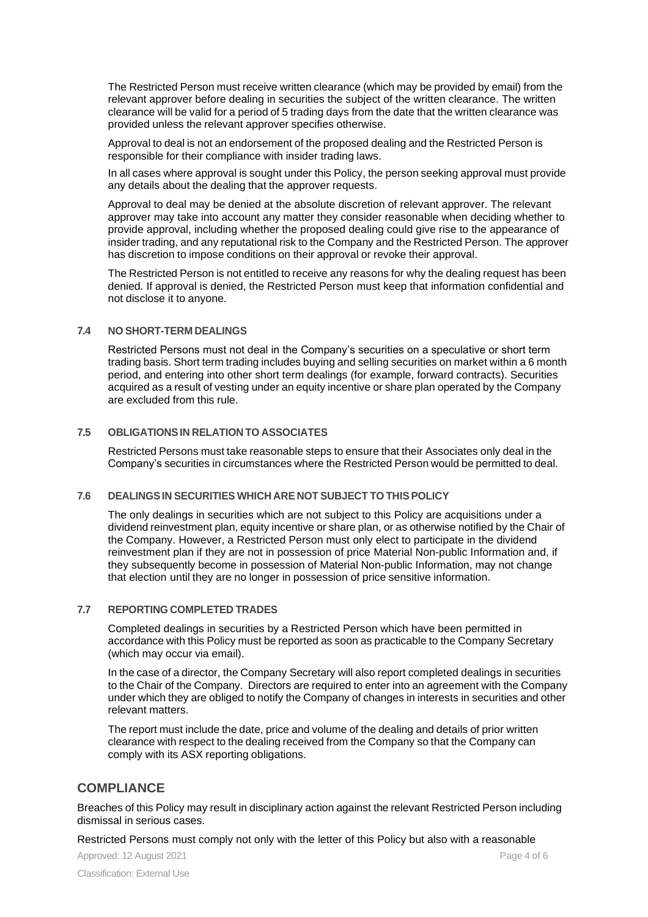The Restricted Person must receive written clearance (which may be provided by email) from the relevant approver before dealing in securities the subject of the written clearance. The written clearance will be valid for a period of 5 trading days from the date that the written clearance was provided unless the relevant approver specifies otherwise.

Approval to deal is not an endorsement of the proposed dealing and the Restricted Person is responsible for their compliance with insider trading laws.

In all cases where approval is sought under this Policy, the person seeking approval must provide any details about the dealing that the approver requests.

Approval to deal may be denied at the absolute discretion of relevant approver. The relevant approver may take into account any matter they consider reasonable when deciding whether to provide approval, including whether the proposed dealing could give rise to the appearance of insider trading, and any reputational risk to the Company and the Restricted Person. The approver has discretion to impose conditions on their approval or revoke their approval.

The Restricted Person is not entitled to receive any reasons for why the dealing request has been denied. If approval is denied, the Restricted Person must keep that information confidential and not disclose it to anyone.

#### **7.4 NO SHORT-TERM DEALINGS**

Restricted Persons must not deal in the Company's securities on a speculative or short term trading basis. Short term trading includes buying and selling securities on market within a 6 month period, and entering into other short term dealings (for example, forward contracts). Securities acquired as a result of vesting under an equity incentive or share plan operated by the Company are excluded from this rule.

#### **7.5 OBLIGATIONSIN RELATION TO ASSOCIATES**

Restricted Persons must take reasonable steps to ensure that their Associates only deal in the Company's securities in circumstances where the Restricted Person would be permitted to deal.

#### **7.6 DEALINGSIN SECURITIES WHICH ARE NOT SUBJECT TO THIS POLICY**

The only dealings in securities which are not subject to this Policy are acquisitions under a dividend reinvestment plan, equity incentive or share plan, or as otherwise notified by the Chair of the Company. However, a Restricted Person must only elect to participate in the dividend reinvestment plan if they are not in possession of price Material Non-public Information and, if they subsequently become in possession of Material Non-public Information, may not change that election until they are no longer in possession of price sensitive information.

#### **7.7 REPORTING COMPLETED TRADES**

Completed dealings in securities by a Restricted Person which have been permitted in accordance with this Policy must be reported as soon as practicable to the Company Secretary (which may occur via email).

In the case of a director, the Company Secretary will also report completed dealings in securities to the Chair of the Company. Directors are required to enter into an agreement with the Company under which they are obliged to notify the Company of changes in interests in securities and other relevant matters.

The report must include the date, price and volume of the dealing and details of prior written clearance with respect to the dealing received from the Company so that the Company can comply with its ASX reporting obligations.

### **COMPLIANCE**

Breaches of this Policy may result in disciplinary action against the relevant Restricted Person including dismissal in serious cases.

Restricted Persons must comply not only with the letter of this Policy but also with a reasonable